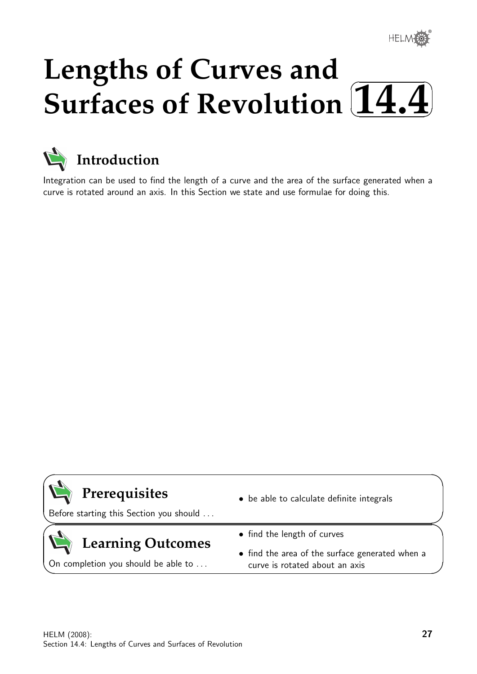## **Lengths of Curves and Surfaces of Revolution**  $\sqrt{2}$ ✒ **14.4**✑ ✏



Integration can be used to find the length of a curve and the area of the surface generated when a curve is rotated around an axis. In this Section we state and use formulae for doing this.



 $\geq$ 

 $\geq$ 

 $\overline{\phantom{0}}$ 

# **Prerequisites**

Before starting this Section you should . . .

# **Learning Outcomes**

On completion you should be able to ...

- be able to calculate definite integrals
- find the length of curves
- find the area of the surface generated when a curve is rotated about an axis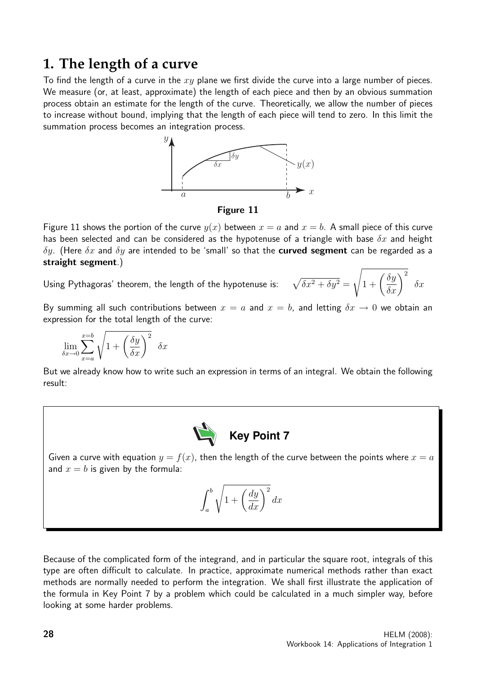# **1. The length of a curve**

To find the length of a curve in the  $xy$  plane we first divide the curve into a large number of pieces. We measure (or, at least, approximate) the length of each piece and then by an obvious summation process obtain an estimate for the length of the curve. Theoretically, we allow the number of pieces to increase without bound, implying that the length of each piece will tend to zero. In this limit the summation process becomes an integration process.



Figure 11

Figure 11 shows the portion of the curve  $y(x)$  between  $x = a$  and  $x = b$ . A small piece of this curve has been selected and can be considered as the hypotenuse of a triangle with base  $\delta x$  and height  $\delta y$ . (Here  $\delta x$  and  $\delta y$  are intended to be 'small' so that the **curved segment** can be regarded as a straight segment.)

Using Pythagoras' theorem, the length of the hypotenuse is

$$
\text{s: } \quad \sqrt{\delta x^2 + \delta y^2} = \sqrt{1 + \left(\frac{\delta y}{\delta x}\right)^2} \ \ \delta x
$$

By summing all such contributions between  $x = a$  and  $x = b$ , and letting  $\delta x \to 0$  we obtain an expression for the total length of the curve:

$$
\lim_{\delta x \to 0} \sum_{x=a}^{x=b} \sqrt{1 + \left(\frac{\delta y}{\delta x}\right)^2} \ \ \delta x
$$

But we already know how to write such an expression in terms of an integral. We obtain the following result:



Given a curve with equation  $y = f(x)$ , then the length of the curve between the points where  $x = a$ and  $x = b$  is given by the formula:

$$
\int_{a}^{b} \sqrt{1 + \left(\frac{dy}{dx}\right)^2} \, dx
$$

Because of the complicated form of the integrand, and in particular the square root, integrals of this type are often difficult to calculate. In practice, approximate numerical methods rather than exact methods are normally needed to perform the integration. We shall first illustrate the application of the formula in Key Point 7 by a problem which could be calculated in a much simpler way, before looking at some harder problems.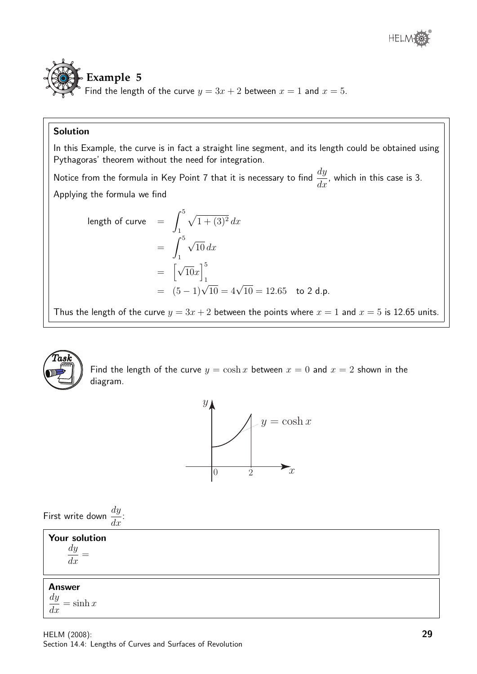



### Solution

In this Example, the curve is in fact a straight line segment, and its length could be obtained using Pythagoras' theorem without the need for integration.

Notice from the formula in Key Point 7 that it is necessary to find  $\frac{dy}{dx}$  $\frac{dy}{dx}$ , which in this case is 3. Applying the formula we find

length of curve 
$$
= \int_{1}^{5} \sqrt{1 + (3)^{2}} dx
$$

$$
= \int_{1}^{5} \sqrt{10} dx
$$

$$
= \left[\sqrt{10}x\right]_{1}^{5}
$$

$$
= (5 - 1)\sqrt{10} = 4\sqrt{10} = 12.65 \text{ to } 2 \text{ d.p.}
$$

Thus the length of the curve  $y = 3x + 2$  between the points where  $x = 1$  and  $x = 5$  is 12.65 units.



Find the length of the curve  $y = \cosh x$  between  $x = 0$  and  $x = 2$  shown in the diagram.



First write down 
$$
\frac{dy}{dx}
$$
:

| <b>Your solution</b><br>$\frac{dy}{y}$<br>dx |  |
|----------------------------------------------|--|
| <b>Answer</b><br>$\frac{dy}{dx} = \sinh x$   |  |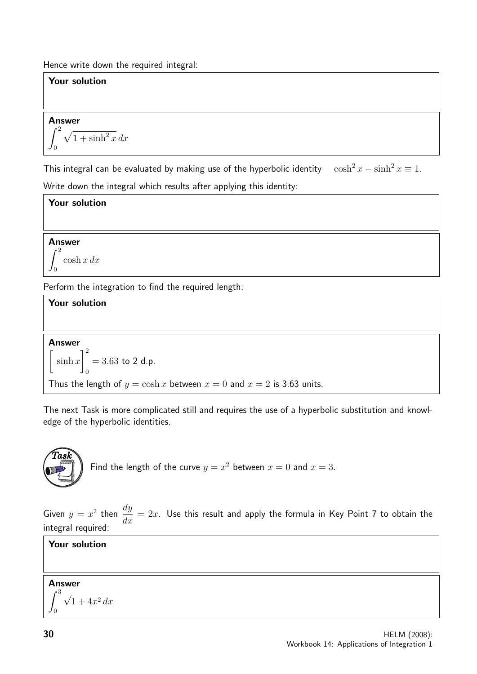Hence write down the required integral:

# Your solution Answer  $\int_0^2$  $\boldsymbol{0}$  $\sqrt{1 + \sinh^2 x} dx$ This integral can be evaluated by making use of the hyperbolic identity  $\cosh^2 x - \sinh^2 x \equiv 1$ .

Write down the integral which results after applying this identity:

## Your solution

Answer  $\int_{0}^{2} \cosh x \, dx$  $\boldsymbol{0}$ 

Perform the integration to find the required length:

### Your solution Answer  $\sqrt{ }$  $\sinh x$  $\vert$ <sup>2</sup>  $\boldsymbol{0}$  $= 3.63$  to 2 d.p. Thus the length of  $y = \cosh x$  between  $x = 0$  and  $x = 2$  is 3.63 units.

The next Task is more complicated still and requires the use of a hyperbolic substitution and knowledge of the hyperbolic identities.



Given  $y = x^2$  then  $\frac{dy}{dx}$  $\frac{dy}{dx} = 2x$ . Use this result and apply the formula in Key Point 7 to obtain the integral required:

### Your solution

## Answer

$$
\int_0^3 \sqrt{1+4x^2} \, dx
$$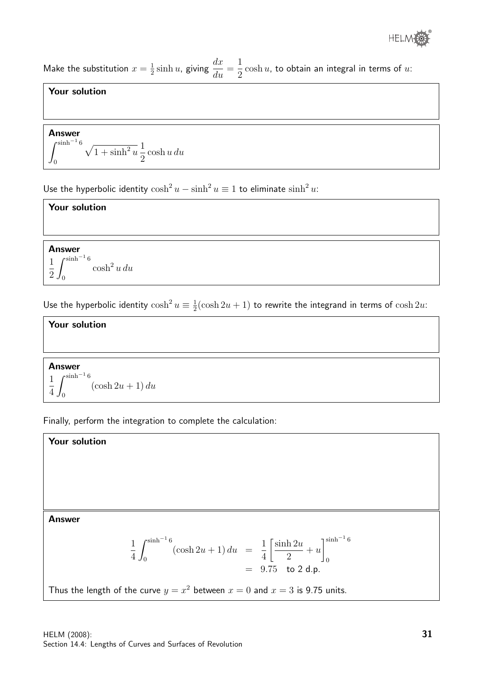

Make the substitution  $x=\frac{1}{2}$  $\frac{1}{2}$  sinh u, giving  $\frac{dx}{du}$  $\frac{du}{du} =$ 1 2  $\cosh u$ , to obtain an integral in terms of  $u$ :

### Your solution

Answer  

$$
\int_0^{\sinh^{-1}6} \sqrt{1+\sinh^2 u} \frac{1}{2} \cosh u \, du
$$

Use the hyperbolic identity  $\cosh^2 u - \sinh^2 u \equiv 1$  to eliminate  $\sinh^2 u$ :

### Your solution

Answer 1  $2J_0$  $\int$ sinh<sup>-1</sup> 6  $\cosh^2 u \, du$ 

Use the hyperbolic identity  $\cosh^2 u \equiv \frac{1}{2}$  $\frac{1}{2}(\cosh 2u + 1)$  to rewrite the integrand in terms of  $\cosh 2u$ :

# Your solution

Answer 1  $4J_0$  $r^{\sinh^{-1} 6}$  $(\cosh 2u + 1) du$ 

Finally, perform the integration to complete the calculation:

**Answer**  
\n
$$
\frac{1}{4} \int_0^{\sinh^{-1} 6} (\cosh 2u + 1) du = \frac{1}{4} \left[ \frac{\sinh 2u}{2} + u \right]_0^{\sinh^{-1} 6}
$$
\n
$$
= 9.75 \text{ to } 2 \text{ d.p.}
$$
\nThus the length of the curve  $y = x^2$  between  $x = 0$  and  $x = 3$  is 9.75 units.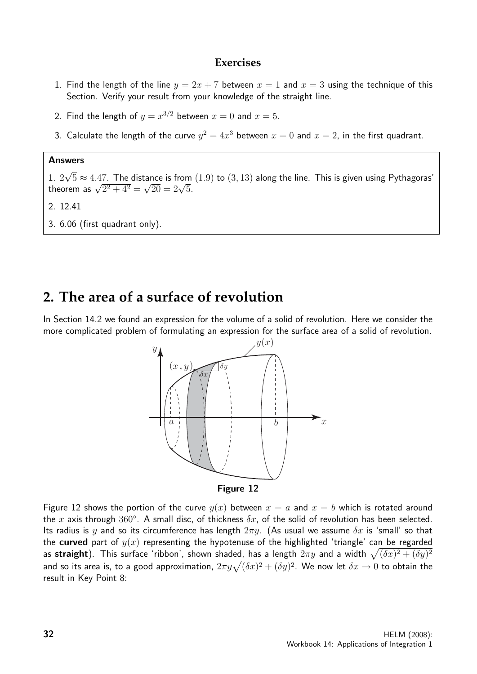### **Exercises**

- 1. Find the length of the line  $y = 2x + 7$  between  $x = 1$  and  $x = 3$  using the technique of this Section. Verify your result from your knowledge of the straight line.
- 2. Find the length of  $y = x^{3/2}$  between  $x = 0$  and  $x = 5$ .
- 3. Calculate the length of the curve  $y^2 = 4x^3$  between  $x = 0$  and  $x = 2$ , in the first quadrant.

#### Answers

1. 2 √  $5 \approx 4.47$ . The distance is from  $(1.9)$  to  $(3, 13)$  along the line. This is given using Pythagoras' 1. 2√  $\overline{5}$  ≈ 4.47. The distance is from<br>theorem as  $\sqrt{2^2 + 4^2} = \sqrt{20} = 2\sqrt{5}$ .

### 2. 12.41

3. 6.06 (first quadrant only).

# **2. The area of a surface of revolution**

In Section 14.2 we found an expression for the volume of a solid of revolution. Here we consider the more complicated problem of formulating an expression for the surface area of a solid of revolution.





Figure 12 shows the portion of the curve  $y(x)$  between  $x = a$  and  $x = b$  which is rotated around the x axis through  $360^{\circ}$ . A small disc, of thickness  $\delta x$ , of the solid of revolution has been selected. Its radius is y and so its circumference has length  $2\pi y$ . (As usual we assume  $\delta x$  is 'small' so that the curved part of  $y(x)$  representing the hypotenuse of the highlighted 'triangle' can be regarded as straight). This surface 'ribbon', shown shaded, has a length  $2\pi y$  and a width  $\sqrt{(\delta x)^2 + (\delta y)^2}$ and so its area is, to a good approximation,  $2\pi y\sqrt{(\delta x)^2+(\delta y)^2}$ . We now let  $\delta x\to 0$  to obtain the result in Key Point 8: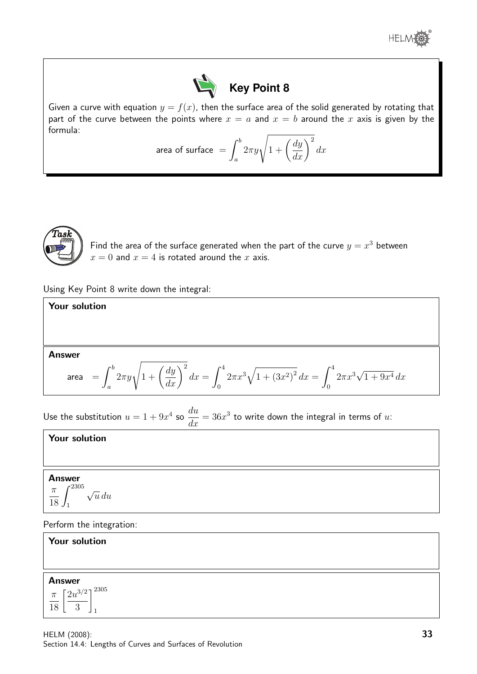



Given a curve with equation  $y = f(x)$ , then the surface area of the solid generated by rotating that part of the curve between the points where  $x = a$  and  $x = b$  around the x axis is given by the formula:

area of surface 
$$
=
$$
  $\int_{a}^{b} 2\pi y \sqrt{1 + \left(\frac{dy}{dx}\right)^2} dx$ 



Find the area of the surface generated when the part of the curve  $y = x^3$  between  $x = 0$  and  $x = 4$  is rotated around the x axis.

Using Key Point 8 write down the integral:

| <b>Your solution</b>                                                                                                                                              |  |
|-------------------------------------------------------------------------------------------------------------------------------------------------------------------|--|
|                                                                                                                                                                   |  |
|                                                                                                                                                                   |  |
| Answer                                                                                                                                                            |  |
| area $= \int_{a}^{b} 2\pi y \sqrt{1 + \left(\frac{dy}{dx}\right)^2} dx = \int_{0}^{4} 2\pi x^3 \sqrt{1 + (3x^2)^2} dx = \int_{0}^{4} 2\pi x^3 \sqrt{1 + 9x^4} dx$ |  |

Use the substitution  $u = 1 + 9x^4$  so du  $\frac{du}{dx} = 36x^3$  to write down the integral in terms of  $u$ :

#### Your solution

### Answer

$$
\frac{\pi}{18} \int_1^{2305} \sqrt{u} \, du
$$

Perform the integration:

| <b>Your solution</b>                                  |  |
|-------------------------------------------------------|--|
|                                                       |  |
|                                                       |  |
| <b>Answer</b><br>$\pi \left[ 2u^{3/2} \right]^{2305}$ |  |
| 18<br>3                                               |  |